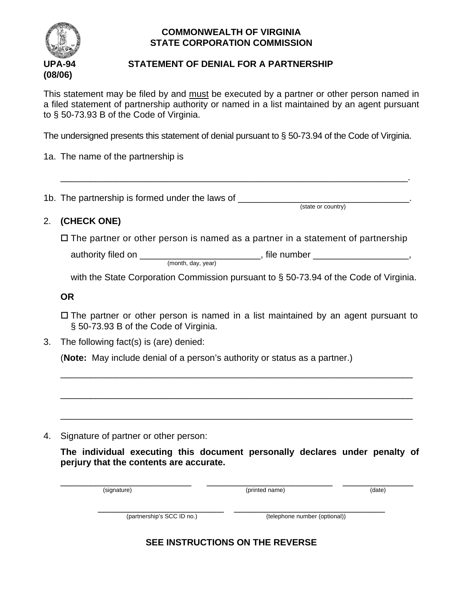

## **COMMONWEALTH OF VIRGINIA STATE CORPORATION COMMISSION**

## **UPA-94 STATEMENT OF DENIAL FOR A PARTNERSHIP**

This statement may be filed by and must be executed by a partner or other person named in a filed statement of partnership authority or named in a list maintained by an agent pursuant to § 50-73.93 B of the Code of Virginia.

The undersigned presents this statement of denial pursuant to § 50-73.94 of the Code of Virginia.

1a. The name of the partnership is

1b. The partnership is formed under the laws of \_\_\_\_\_\_\_\_\_\_\_\_\_\_\_\_\_\_\_\_\_\_\_\_\_\_\_\_\_\_\_\_\_

(state or country)

## 2. **(CHECK ONE)**

 $\square$  The partner or other person is named as a partner in a statement of partnership

\_\_\_\_\_\_\_\_\_\_\_\_\_\_\_\_\_\_\_\_\_\_\_\_\_\_\_\_\_\_\_\_\_\_\_\_\_\_\_\_\_\_\_\_\_\_\_\_\_\_\_\_\_\_\_\_\_\_\_\_\_\_\_\_\_\_\_\_\_.

authority filed on \_\_\_\_\_\_\_\_\_\_\_\_\_\_\_\_\_\_\_\_\_\_\_\_\_\_\_, file number \_\_\_\_\_\_\_\_\_\_\_\_\_\_\_\_\_\_\_\_, (month, day, year)

with the State Corporation Commission pursuant to § 50-73.94 of the Code of Virginia.

**OR**

 $\Box$  The partner or other person is named in a list maintained by an agent pursuant to § 50-73.93 B of the Code of Virginia.

\_\_\_\_\_\_\_\_\_\_\_\_\_\_\_\_\_\_\_\_\_\_\_\_\_\_\_\_\_\_\_\_\_\_\_\_\_\_\_\_\_\_\_\_\_\_\_\_\_\_\_\_\_\_\_\_\_\_\_\_\_\_\_\_\_\_\_\_\_\_

\_\_\_\_\_\_\_\_\_\_\_\_\_\_\_\_\_\_\_\_\_\_\_\_\_\_\_\_\_\_\_\_\_\_\_\_\_\_\_\_\_\_\_\_\_\_\_\_\_\_\_\_\_\_\_\_\_\_\_\_\_\_\_\_\_\_\_\_\_\_

\_\_\_\_\_\_\_\_\_\_\_\_\_\_\_\_\_\_\_\_\_\_\_\_\_\_\_\_\_\_\_\_\_\_\_\_\_\_\_\_\_\_\_\_\_\_\_\_\_\_\_\_\_\_\_\_\_\_\_\_\_\_\_\_\_\_\_\_\_\_

3. The following fact(s) is (are) denied:

(**Note:** May include denial of a person's authority or status as a partner.)

4. Signature of partner or other person:

**The individual executing this document personally declares under penalty of perjury that the contents are accurate.**

| (signature)                | (printed name)                | (date) |
|----------------------------|-------------------------------|--------|
| (partnership's SCC ID no.) | (telephone number (optional)) |        |

**SEE INSTRUCTIONS ON THE REVERSE**